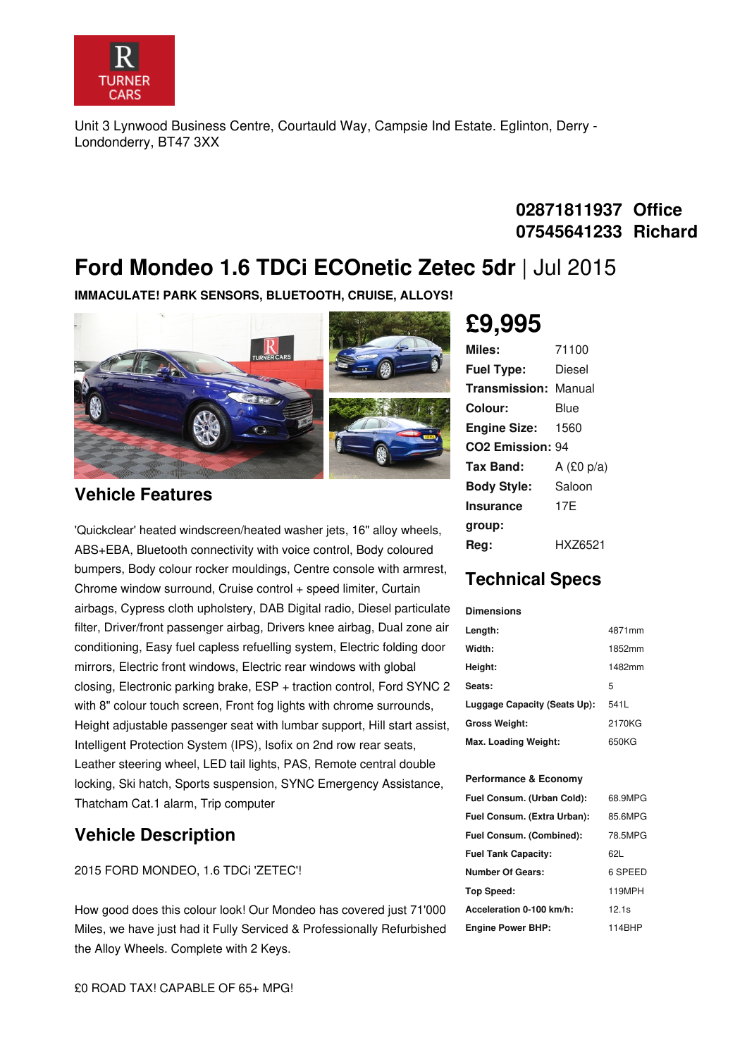

Unit 3 Lynwood Business Centre, Courtauld Way, Campsie Ind Estate. Eglinton, Derry - Londonderry, BT47 3XX

### **02871811937 Office 07545641233 Richard**

## **Ford Mondeo 1.6 TDCi ECOnetic Zetec 5dr** |Jul 2015

**IMMACULATE! PARK SENSORS, BLUETOOTH, CRUISE, ALLOYS!**



#### **Vehicle Features**

'Quickclear' heated windscreen/heated washer jets, 16" alloy wheels, ABS+EBA, Bluetooth connectivity with voice control, Body coloured bumpers, Body colour rocker mouldings, Centre console with armrest, Chrome window surround, Cruise control + speed limiter, Curtain airbags, Cypress cloth upholstery, DAB Digital radio, Diesel particulate filter, Driver/front passenger airbag, Drivers knee airbag, Dual zone air conditioning, Easy fuel capless refuelling system, Electric folding door mirrors, Electric front windows, Electric rear windows with global closing, Electronic parking brake, ESP + traction control, Ford SYNC 2 with 8" colour touch screen, Front fog lights with chrome surrounds, Height adjustable passenger seat with lumbar support, Hill start assist, Intelligent Protection System (IPS), Isofix on 2nd row rear seats, Leather steering wheel, LED tail lights, PAS, Remote central double locking, Ski hatch, Sports suspension, SYNC Emergency Assistance, Thatcham Cat.1 alarm, Trip computer

### **Vehicle Description**

2015 FORD MONDEO, 1.6 TDCi 'ZETEC'!

How good does this colour look! Our Mondeo has covered just 71'000 Miles, we have just had it Fully Serviced & Professionally Refurbished the Alloy Wheels. Complete with 2 Keys.

# **£9,995**

| Miles:                       | 71100        |
|------------------------------|--------------|
| <b>Fuel Type:</b>            | Diesel       |
| <b>Transmission: Manual</b>  |              |
| Colour:                      | Blue         |
| <b>Engine Size:</b>          | 1560         |
| CO <sub>2</sub> Emission: 94 |              |
| Tax Band:                    | A $(£0 p/a)$ |
| <b>Body Style:</b>           | Saloon       |
| Insurance                    | 17F          |
| group:                       |              |
| Rea:                         | HXZ6521      |

### **Technical Specs**

| <b>Dimensions</b>            |        |
|------------------------------|--------|
| Length:                      | 4871mm |
| Width:                       | 1852mm |
| Height:                      | 1482mm |
| Seats:                       | 5      |
| Luggage Capacity (Seats Up): | 541L   |
| <b>Gross Weight:</b>         | 2170KG |
| Max. Loading Weight:         | 650KG  |

#### **Performance & Economy**

| Fuel Consum. (Urban Cold):  | 68.9MPG |
|-----------------------------|---------|
| Fuel Consum. (Extra Urban): | 85.6MPG |
| Fuel Consum. (Combined):    | 78.5MPG |
| <b>Fuel Tank Capacity:</b>  | 621.    |
| Number Of Gears:            | 6 SPEED |
| Top Speed:                  | 119MPH  |
| Acceleration 0-100 km/h:    | 12.1s   |
| <b>Engine Power BHP:</b>    | 114BHP  |